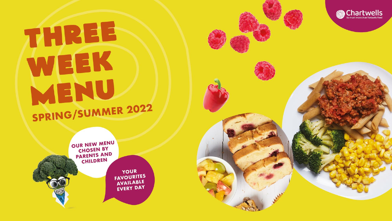## THREE WEEK MENU SPRING/SUMMER 2022



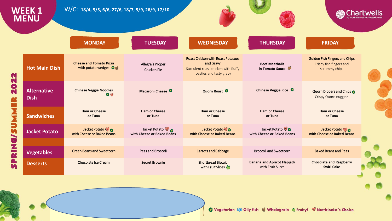|                                                                          | <b>WEEK1</b><br><b>MENU</b>       | W/C: 18/4, 9/5, 6/6, 27/6, 18/7, 5/9, 26/9, 17/10        |                                             |                                                                                                                          |                                                         |                                                                                  | <b>Chartwells</b> |
|--------------------------------------------------------------------------|-----------------------------------|----------------------------------------------------------|---------------------------------------------|--------------------------------------------------------------------------------------------------------------------------|---------------------------------------------------------|----------------------------------------------------------------------------------|-------------------|
|                                                                          |                                   | <b>MONDAY</b>                                            | <b>TUESDAY</b>                              | <b>WEDNESDAY</b>                                                                                                         | <b>THURSDAY</b>                                         | <b>FRIDAY</b>                                                                    |                   |
| N<br>N<br>$\bullet$<br>N<br><b>BRA</b><br>ź<br>٣<br>n<br>J<br><b>NIC</b> | <b>Hot Main Dish</b>              | <b>Cheese and Tomato Pizza</b><br>with potato wedges Out | Allegra's Proper<br><b>Chicken Pie</b>      | <b>Roast Chicken with Roast Potatoes</b><br>and Gravy<br>Succulent roast chicken with fluffy<br>roasties and tasty gravy | <b>Beef Meatballs</b><br>in Tomato Sauce                | <b>Golden Fish Fingers and Chips</b><br>Crispy fish fingers and<br>scrummy chips |                   |
|                                                                          | <b>Alternative</b><br><b>Dish</b> | <b>Chinese Veggie Noodles</b><br>$\bullet$               | Macaroni Cheese <sup>0</sup>                | Quorn Roast <sup>O</sup>                                                                                                 | Chinese Veggie Rice <sup>0</sup>                        | Quorn Dippers and Chips<br><b>Crispy Quorn nuggets</b>                           |                   |
|                                                                          | <b>Sandwiches</b>                 | <b>Ham or Cheese</b><br>or Tuna                          | <b>Ham or Cheese</b><br>or Tuna             | <b>Ham or Cheese</b><br>or Tuna                                                                                          | <b>Ham or Cheese</b><br>or Tuna                         | <b>Ham or Cheese</b><br>or Tuna                                                  |                   |
|                                                                          | <b>Jacket Potato</b>              | Jacket Potato %<br>with Cheese or Baked Beans            | Jacket Potato<br>with Cheese or Baked Beans | Jacket Potato o<br>with Cheese or Baked Beans                                                                            | Jacket Potato<br>with Cheese or Baked Beans             | Jacket Potato<br>with Cheese or Baked Beans                                      |                   |
|                                                                          | <b>Vegetables</b>                 | <b>Green Beans and Sweetcorn</b>                         | Peas and Broccoli                           | <b>Carrots and Cabbage</b>                                                                                               | <b>Broccoli and Sweetcorn</b>                           | <b>Baked Beans and Peas</b>                                                      |                   |
| <b>A</b>                                                                 | <b>Desserts</b>                   | <b>Chocolate Ice Cream</b>                               | <b>Secret Brownie</b>                       | <b>Shortbread Biscuit</b><br>with Fruit Slices                                                                           | <b>Banana and Apricot Flapjack</b><br>with Fruit Slices | <b>Chocolate and Raspberry</b><br><b>Swirl Cake</b>                              |                   |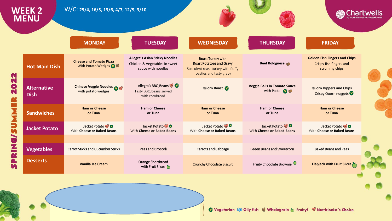|                                              | <b>WEEK 2</b><br><b>MENU</b>      | W/C: 25/4, 16/5, 13/6, 4/7, 12/9, 3/10                                                                                                                                                                                               |                                                                                              |                                                                                                                               |                                                            |                                                                                  | <b>Chartwells</b> |
|----------------------------------------------|-----------------------------------|--------------------------------------------------------------------------------------------------------------------------------------------------------------------------------------------------------------------------------------|----------------------------------------------------------------------------------------------|-------------------------------------------------------------------------------------------------------------------------------|------------------------------------------------------------|----------------------------------------------------------------------------------|-------------------|
|                                              |                                   | <b>MONDAY</b>                                                                                                                                                                                                                        | <b>TUESDAY</b>                                                                               | <b>WEDNESDAY</b>                                                                                                              | <b>THURSDAY</b>                                            | <b>FRIDAY</b>                                                                    |                   |
| N                                            | <b>Hot Main Dish</b>              | <b>Cheese and Tomato Pizza</b><br>With Potato Wedges 2 等                                                                                                                                                                             | <b>Allegra's Asian Sticky Noodles</b><br>Chicken & Vegetables in sweet<br>sauce with noodles | <b>Roast Turkey with</b><br><b>Roast Potatoes and Gravy</b><br>Succulent roast turkey with fluffy<br>roasties and tasty gravy | <b>Beef Bolognese</b>                                      | <b>Golden Fish Fingers and Chips</b><br>Crispy fish fingers and<br>scrummy chips |                   |
| N<br>$\bullet$<br>N                          | <b>Alternative</b><br><b>Dish</b> | <b>Chinese Veggie Noodles Of Wavenumber Of Algebra Control Control Control Control Control Control Control Control Control Control Control Control Control Control Control Control Control Control Control Control Control Contr</b> | Allegra's BBQ Beans<br>Tasty BBQ beans served<br>with cornbread                              | Quorn Roast                                                                                                                   | <b>Veggie Balls In Tomato Sauce</b><br>with Pasta <b>D</b> | <b>Quorn Dippers and Chips</b><br>Crispy Quorn nuggets                           |                   |
| <b>THE</b><br>S<br>J<br><b>NEW</b><br>A<br>n | <b>Sandwiches</b>                 | <b>Ham or Cheese</b><br>or Tuna                                                                                                                                                                                                      | <b>Ham or Cheese</b><br>or Tuna                                                              | <b>Ham or Cheese</b><br>or Tuna                                                                                               | <b>Ham or Cheese</b><br>or Tuna                            | <b>Ham or Cheese</b><br>or Tuna                                                  |                   |
|                                              | <b>Jacket Potato</b>              | Jacket Potato<br>With Cheese or Baked Beans                                                                                                                                                                                          | Jacket Potato<br>With Cheese or Baked Beans                                                  | Jacket Potato<br>With Cheese or Baked Beans                                                                                   | Jacket Potato<br>With Cheese or Baked Beans                | Jacket Potato<br>With Cheese or Baked Beans                                      |                   |
|                                              | <b>Vegetables</b>                 | <b>Carrot Sticks and Cucumber Sticks</b>                                                                                                                                                                                             | Peas and Broccoli                                                                            | <b>Carrots and Cabbage</b>                                                                                                    | <b>Green Beans and Sweetcorn</b>                           | <b>Baked Beans and Peas</b>                                                      |                   |
|                                              | <b>Desserts</b>                   | <b>Vanilla Ice Cream</b>                                                                                                                                                                                                             | Orange Shortbread<br>with Fruit Slices                                                       | <b>Crunchy Chocolate Biscuit</b>                                                                                              | Fruity Chocolate Brownie                                   | Flapjack with Fruit Slices                                                       |                   |
|                                              |                                   |                                                                                                                                                                                                                                      |                                                                                              |                                                                                                                               |                                                            |                                                                                  |                   |
|                                              |                                   |                                                                                                                                                                                                                                      |                                                                                              |                                                                                                                               |                                                            |                                                                                  |                   |

C Vegetarian & Oily fish & Wholegrain & Fruity! W Nutritionist's Choice